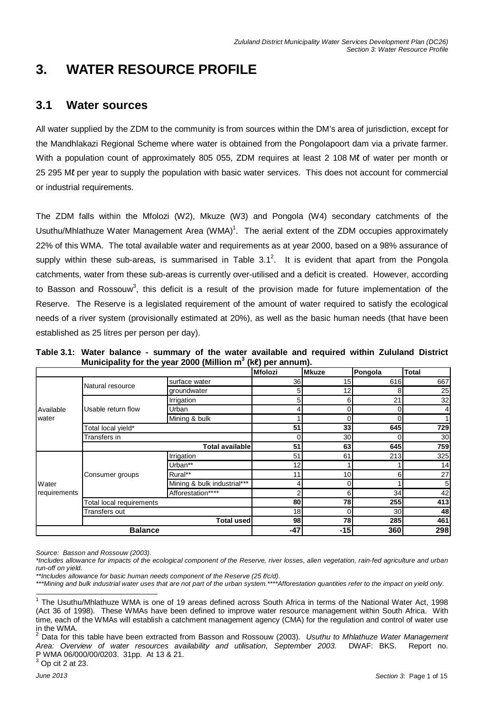# **3. WATER RESOURCE PROFILE**

## **3.1 Water sources**

All water supplied by the ZDM to the community is from sources within the DM's area of jurisdiction, except for the Mandhlakazi Regional Scheme where water is obtained from the Pongolapoort dam via a private farmer. With a population count of approximately 805 055, ZDM requires at least 2 108 Ml of water per month or 25 295 Mℓ per year to supply the population with basic water services. This does not account for commercial or industrial requirements.

The ZDM falls within the Mfolozi (W2), Mkuze (W3) and Pongola (W4) secondary catchments of the Usuthu/Mhlathuze Water Management Area (WMA)<sup>1</sup>. The aerial extent of the ZDM occupies approximately 22% of this WMA. The total available water and requirements as at year 2000, based on a 98% assurance of supply within these sub-areas, is summarised in Table 3.1<sup>2</sup>. It is evident that apart from the Pongola catchments, water from these sub-areas is currently over-utilised and a deficit is created. However, according to Basson and Rossouw<sup>3</sup>, this deficit is a result of the provision made for future implementation of the Reserve. The Reserve is a legislated requirement of the amount of water required to satisfy the ecological needs of a river system (provisionally estimated at 20%), as well as the basic human needs (that have been established as 25 litres per person per day).

|  | Table 3.1: Water balance - summary of the water available and required within Zululand District |  |  |  |  |
|--|-------------------------------------------------------------------------------------------------|--|--|--|--|
|  | Municipality for the year 2000 (Million $m^3$ (ke) per annum).                                  |  |  |  |  |

|              |                          |                             | <b>Mfolozi</b>  | <b>Mkuze</b> | Pongola | <b>Total</b>    |
|--------------|--------------------------|-----------------------------|-----------------|--------------|---------|-----------------|
|              | Natural resource         | surface water               | 36              | 15           | 616     | 667             |
|              |                          | groundwater                 | 5               | 12           | 8       | 25              |
|              |                          | Irrigation                  | 5               | 6            | 21      | 32              |
| Available    | Usable return flow       | Urban                       |                 | 0            |         | 4               |
| water        |                          | Mining & bulk               |                 | 0            |         |                 |
|              | Total local yield*       |                             | 51              | 33           | 645     | 729             |
|              | Transfers in             |                             |                 | 30           |         | 30 <sub>l</sub> |
|              |                          | <b>Total available</b>      | 51              | 63           | 645     | 759             |
|              |                          | Irrigation                  | 51              | 61           | 213     | 325             |
|              |                          | Urban**                     | 12 <sub>1</sub> |              |         | 14              |
|              | Consumer groups          | Rural**                     | 11              | 10           | 61      | 27              |
| Water        |                          | Mining & bulk industrial*** |                 | 0            |         | 5 <sub>l</sub>  |
| requirements |                          | Afforestation****           |                 | 6            | 34      | 42              |
|              | Total local requirements | 80                          | 78              | 255          | 413     |                 |
|              | <b>Transfers out</b>     |                             | 18              | 0            | 30      | 48              |
|              |                          | Total usedl                 | 98              | 78           | 285     | 461             |
|              | <b>Balance</b>           |                             | $-47$           | $-15$        | 360     | 298             |

Source: Basson and Rossouw (2003).

<sup>\*</sup>Includes allowance for impacts of the ecological component of the Reserve, river losses, alien vegetation, rain-fed agriculture and urban run-off on yield.

<sup>\*\*</sup>Includes allowance for basic human needs component of the Reserve (25  $\ell$ /c/d).

<sup>\*\*\*</sup>Mining and bulk industrial water uses that are not part of the urban system.\*\*\*\*Afforestation quantities refer to the impact on yield only.

 1 The Usuthu/Mhlathuze WMA is one of 19 areas defined across South Africa in terms of the National Water Act, 1998 (Act 36 of 1998). These WMAs have been defined to improve water resource management within South Africa. With time, each of the WMAs will establish a catchment management agency (CMA) for the regulation and control of water use in the WMA.<br><sup>2</sup> Dete fer thi

Data for this table have been extracted from Basson and Rossouw (2003). Usuthu to Mhlathuze Water Management Area: Overview of water resources availability and utilisation, September 2003. DWAF: BKS. Report no. P WMA 06/000/00/0203. 31pp. At 13 & 21.  $3$  Op cit 2 at 23.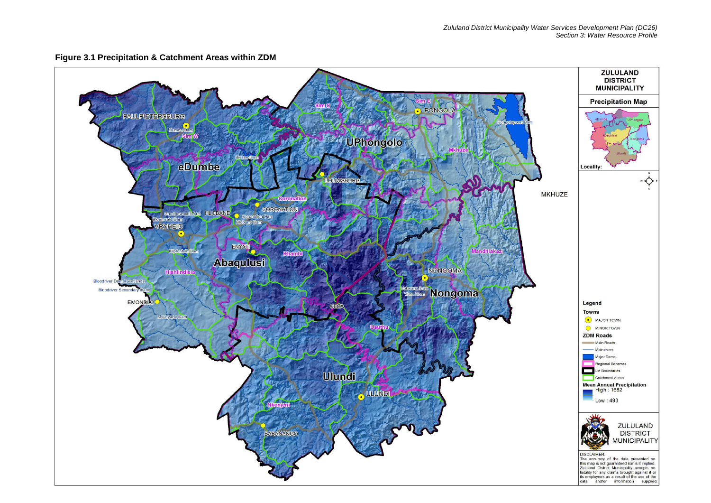

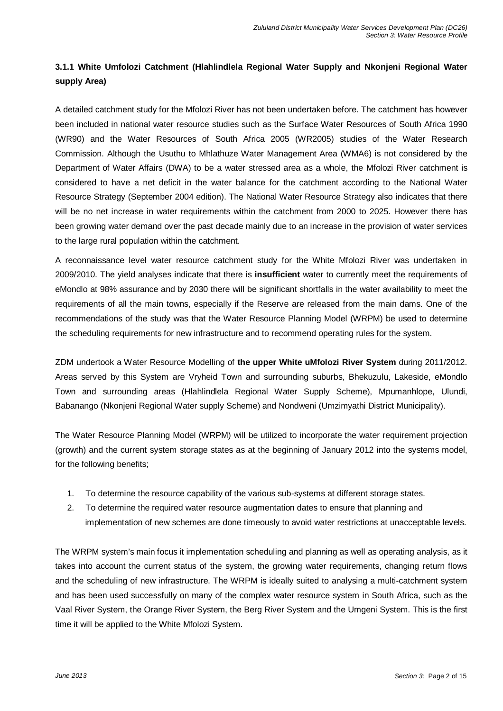### **3.1.1 White Umfolozi Catchment (Hlahlindlela Regional Water Supply and Nkonjeni Regional Water supply Area)**

A detailed catchment study for the Mfolozi River has not been undertaken before. The catchment has however been included in national water resource studies such as the Surface Water Resources of South Africa 1990 (WR90) and the Water Resources of South Africa 2005 (WR2005) studies of the Water Research Commission. Although the Usuthu to Mhlathuze Water Management Area (WMA6) is not considered by the Department of Water Affairs (DWA) to be a water stressed area as a whole, the Mfolozi River catchment is considered to have a net deficit in the water balance for the catchment according to the National Water Resource Strategy (September 2004 edition). The National Water Resource Strategy also indicates that there will be no net increase in water requirements within the catchment from 2000 to 2025. However there has been growing water demand over the past decade mainly due to an increase in the provision of water services to the large rural population within the catchment.

A reconnaissance level water resource catchment study for the White Mfolozi River was undertaken in 2009/2010. The yield analyses indicate that there is **insufficient** water to currently meet the requirements of eMondlo at 98% assurance and by 2030 there will be significant shortfalls in the water availability to meet the requirements of all the main towns, especially if the Reserve are released from the main dams. One of the recommendations of the study was that the Water Resource Planning Model (WRPM) be used to determine the scheduling requirements for new infrastructure and to recommend operating rules for the system.

ZDM undertook a Water Resource Modelling of **the upper White uMfolozi River System** during 2011/2012. Areas served by this System are Vryheid Town and surrounding suburbs, Bhekuzulu, Lakeside, eMondlo Town and surrounding areas (Hlahlindlela Regional Water Supply Scheme), Mpumanhlope, Ulundi, Babanango (Nkonjeni Regional Water supply Scheme) and Nondweni (Umzimyathi District Municipality).

The Water Resource Planning Model (WRPM) will be utilized to incorporate the water requirement projection (growth) and the current system storage states as at the beginning of January 2012 into the systems model, for the following benefits;

- 1. To determine the resource capability of the various sub-systems at different storage states.
- 2. To determine the required water resource augmentation dates to ensure that planning and implementation of new schemes are done timeously to avoid water restrictions at unacceptable levels.

The WRPM system's main focus it implementation scheduling and planning as well as operating analysis, as it takes into account the current status of the system, the growing water requirements, changing return flows and the scheduling of new infrastructure. The WRPM is ideally suited to analysing a multi-catchment system and has been used successfully on many of the complex water resource system in South Africa, such as the Vaal River System, the Orange River System, the Berg River System and the Umgeni System. This is the first time it will be applied to the White Mfolozi System.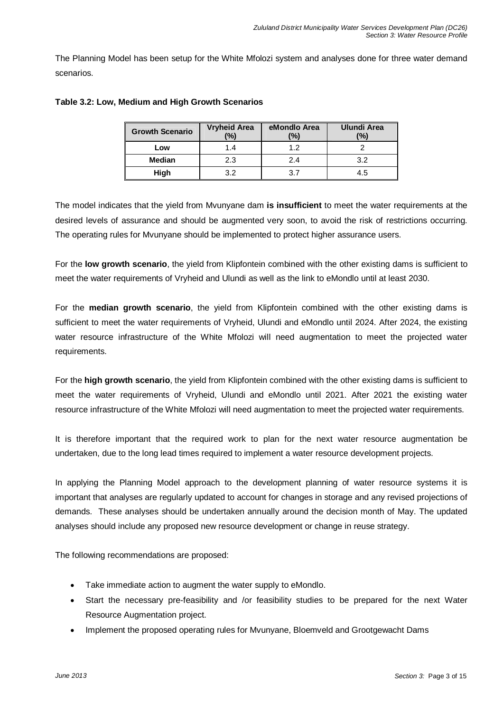The Planning Model has been setup for the White Mfolozi system and analyses done for three water demand scenarios.

| <b>Growth Scenario</b> | <b>Vryheid Area</b><br>$\frac{10}{6}$ | eMondlo Area<br>(%) | <b>Ulundi Area</b><br>$\frac{10}{10}$ |  |
|------------------------|---------------------------------------|---------------------|---------------------------------------|--|
| Low                    | 14                                    | 12                  |                                       |  |
| <b>Median</b>          | 2.3                                   | 2.4                 | 32                                    |  |
| High                   | っっ                                    | 37                  | 4.5                                   |  |

### **Table 3.2: Low, Medium and High Growth Scenarios**

The model indicates that the yield from Mvunyane dam **is insufficient** to meet the water requirements at the desired levels of assurance and should be augmented very soon, to avoid the risk of restrictions occurring. The operating rules for Mvunyane should be implemented to protect higher assurance users.

For the **low growth scenario**, the yield from Klipfontein combined with the other existing dams is sufficient to meet the water requirements of Vryheid and Ulundi as well as the link to eMondlo until at least 2030.

For the **median growth scenario**, the yield from Klipfontein combined with the other existing dams is sufficient to meet the water requirements of Vryheid, Ulundi and eMondlo until 2024. After 2024, the existing water resource infrastructure of the White Mfolozi will need augmentation to meet the projected water requirements.

For the **high growth scenario**, the yield from Klipfontein combined with the other existing dams is sufficient to meet the water requirements of Vryheid, Ulundi and eMondlo until 2021. After 2021 the existing water resource infrastructure of the White Mfolozi will need augmentation to meet the projected water requirements.

It is therefore important that the required work to plan for the next water resource augmentation be undertaken, due to the long lead times required to implement a water resource development projects.

In applying the Planning Model approach to the development planning of water resource systems it is important that analyses are regularly updated to account for changes in storage and any revised projections of demands. These analyses should be undertaken annually around the decision month of May. The updated analyses should include any proposed new resource development or change in reuse strategy.

The following recommendations are proposed:

- Take immediate action to augment the water supply to eMondlo.
- Start the necessary pre-feasibility and /or feasibility studies to be prepared for the next Water Resource Augmentation project.
- Implement the proposed operating rules for Mvunyane, Bloemveld and Grootgewacht Dams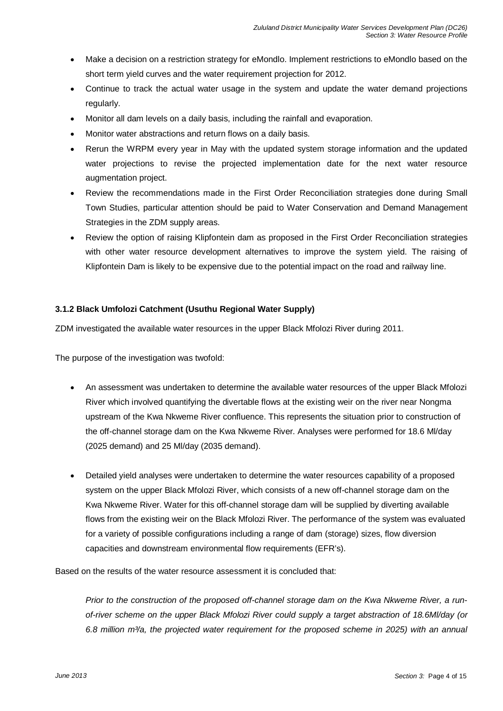- Make a decision on a restriction strategy for eMondlo. Implement restrictions to eMondlo based on the short term yield curves and the water requirement projection for 2012.
- Continue to track the actual water usage in the system and update the water demand projections regularly.
- Monitor all dam levels on a daily basis, including the rainfall and evaporation.
- Monitor water abstractions and return flows on a daily basis.
- Rerun the WRPM every year in May with the updated system storage information and the updated water projections to revise the projected implementation date for the next water resource augmentation project.
- Review the recommendations made in the First Order Reconciliation strategies done during Small Town Studies, particular attention should be paid to Water Conservation and Demand Management Strategies in the ZDM supply areas.
- Review the option of raising Klipfontein dam as proposed in the First Order Reconciliation strategies with other water resource development alternatives to improve the system yield. The raising of Klipfontein Dam is likely to be expensive due to the potential impact on the road and railway line.

### **3.1.2 Black Umfolozi Catchment (Usuthu Regional Water Supply)**

ZDM investigated the available water resources in the upper Black Mfolozi River during 2011.

The purpose of the investigation was twofold:

- An assessment was undertaken to determine the available water resources of the upper Black Mfolozi River which involved quantifying the divertable flows at the existing weir on the river near Nongma upstream of the Kwa Nkweme River confluence. This represents the situation prior to construction of the off-channel storage dam on the Kwa Nkweme River. Analyses were performed for 18.6 Ml/day (2025 demand) and 25 Ml/day (2035 demand).
- Detailed yield analyses were undertaken to determine the water resources capability of a proposed system on the upper Black Mfolozi River, which consists of a new off-channel storage dam on the Kwa Nkweme River. Water for this off-channel storage dam will be supplied by diverting available flows from the existing weir on the Black Mfolozi River. The performance of the system was evaluated for a variety of possible configurations including a range of dam (storage) sizes, flow diversion capacities and downstream environmental flow requirements (EFR's).

Based on the results of the water resource assessment it is concluded that:

Prior to the construction of the proposed off-channel storage dam on the Kwa Nkweme River, a runof-river scheme on the upper Black Mfolozi River could supply a target abstraction of 18.6Ml/day (or 6.8 million m $\%a$ , the projected water requirement for the proposed scheme in 2025) with an annual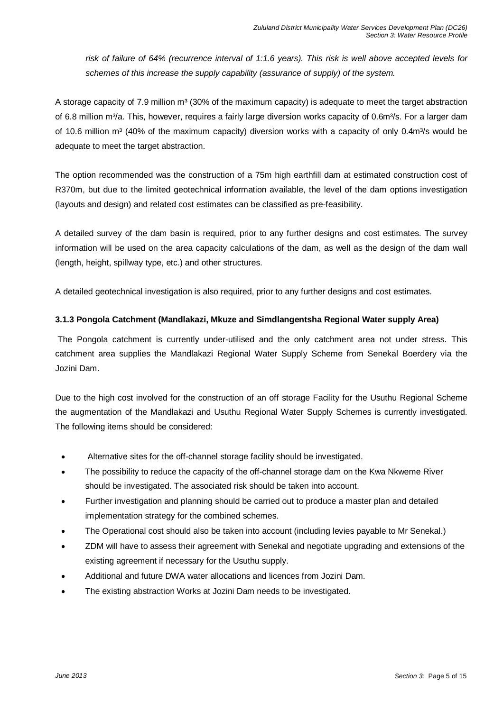risk of failure of 64% (recurrence interval of 1:1.6 years). This risk is well above accepted levels for schemes of this increase the supply capability (assurance of supply) of the system.

A storage capacity of 7.9 million  $m<sup>3</sup>$  (30% of the maximum capacity) is adequate to meet the target abstraction of 6.8 million m<sup>3</sup>/a. This, however, requires a fairly large diversion works capacity of 0.6m<sup>3</sup>/s. For a larger dam of 10.6 million m<sup>3</sup> (40% of the maximum capacity) diversion works with a capacity of only 0.4m<sup>3</sup>/s would be adequate to meet the target abstraction.

The option recommended was the construction of a 75m high earthfill dam at estimated construction cost of R370m, but due to the limited geotechnical information available, the level of the dam options investigation (layouts and design) and related cost estimates can be classified as pre-feasibility.

A detailed survey of the dam basin is required, prior to any further designs and cost estimates. The survey information will be used on the area capacity calculations of the dam, as well as the design of the dam wall (length, height, spillway type, etc.) and other structures.

A detailed geotechnical investigation is also required, prior to any further designs and cost estimates.

### **3.1.3 Pongola Catchment (Mandlakazi, Mkuze and Simdlangentsha Regional Water supply Area)**

 The Pongola catchment is currently under-utilised and the only catchment area not under stress. This catchment area supplies the Mandlakazi Regional Water Supply Scheme from Senekal Boerdery via the Jozini Dam.

Due to the high cost involved for the construction of an off storage Facility for the Usuthu Regional Scheme the augmentation of the Mandlakazi and Usuthu Regional Water Supply Schemes is currently investigated. The following items should be considered:

- Alternative sites for the off-channel storage facility should be investigated.
- The possibility to reduce the capacity of the off-channel storage dam on the Kwa Nkweme River should be investigated. The associated risk should be taken into account.
- Further investigation and planning should be carried out to produce a master plan and detailed implementation strategy for the combined schemes.
- The Operational cost should also be taken into account (including levies payable to Mr Senekal.)
- ZDM will have to assess their agreement with Senekal and negotiate upgrading and extensions of the existing agreement if necessary for the Usuthu supply.
- Additional and future DWA water allocations and licences from Jozini Dam.
- The existing abstraction Works at Jozini Dam needs to be investigated.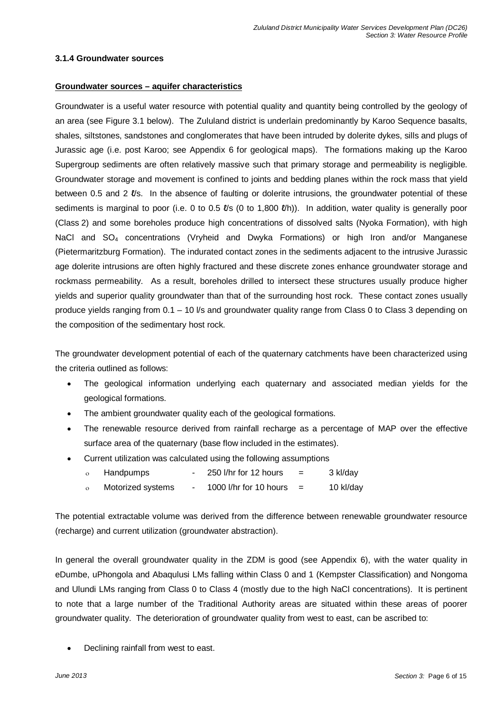### **3.1.4 Groundwater sources**

### **Groundwater sources – aquifer characteristics**

Groundwater is a useful water resource with potential quality and quantity being controlled by the geology of an area (see Figure 3.1 below). The Zululand district is underlain predominantly by Karoo Sequence basalts, shales, siltstones, sandstones and conglomerates that have been intruded by dolerite dykes, sills and plugs of Jurassic age (i.e. post Karoo; see Appendix 6 for geological maps). The formations making up the Karoo Supergroup sediments are often relatively massive such that primary storage and permeability is negligible. Groundwater storage and movement is confined to joints and bedding planes within the rock mass that yield between 0.5 and 2  $\ell$ /s. In the absence of faulting or dolerite intrusions, the groundwater potential of these sediments is marginal to poor (i.e. 0 to 0.5  $\ell$ 's (0 to 1,800  $\ell$ <sup>'h</sup>)). In addition, water quality is generally poor (Class 2) and some boreholes produce high concentrations of dissolved salts (Nyoka Formation), with high NaCl and SO<sub>4</sub> concentrations (Vryheid and Dwyka Formations) or high Iron and/or Manganese (Pietermaritzburg Formation). The indurated contact zones in the sediments adjacent to the intrusive Jurassic age dolerite intrusions are often highly fractured and these discrete zones enhance groundwater storage and rockmass permeability. As a result, boreholes drilled to intersect these structures usually produce higher yields and superior quality groundwater than that of the surrounding host rock. These contact zones usually produce yields ranging from 0.1 – 10 l/s and groundwater quality range from Class 0 to Class 3 depending on the composition of the sedimentary host rock.

The groundwater development potential of each of the quaternary catchments have been characterized using the criteria outlined as follows:

- The geological information underlying each quaternary and associated median yields for the geological formations.
- The ambient groundwater quality each of the geological formations.
- The renewable resource derived from rainfall recharge as a percentage of MAP over the effective surface area of the quaternary (base flow included in the estimates).
- Current utilization was calculated using the following assumptions
	- $o$  Handpumps 250 l/hr for 12 hours = 3 kl/day
	- ο Motorized systems 1000 l/hr for 10 hours = 10 kl/day

The potential extractable volume was derived from the difference between renewable groundwater resource (recharge) and current utilization (groundwater abstraction).

In general the overall groundwater quality in the ZDM is good (see Appendix 6), with the water quality in eDumbe, uPhongola and Abaqulusi LMs falling within Class 0 and 1 (Kempster Classification) and Nongoma and Ulundi LMs ranging from Class 0 to Class 4 (mostly due to the high NaCl concentrations). It is pertinent to note that a large number of the Traditional Authority areas are situated within these areas of poorer groundwater quality. The deterioration of groundwater quality from west to east, can be ascribed to:

• Declining rainfall from west to east.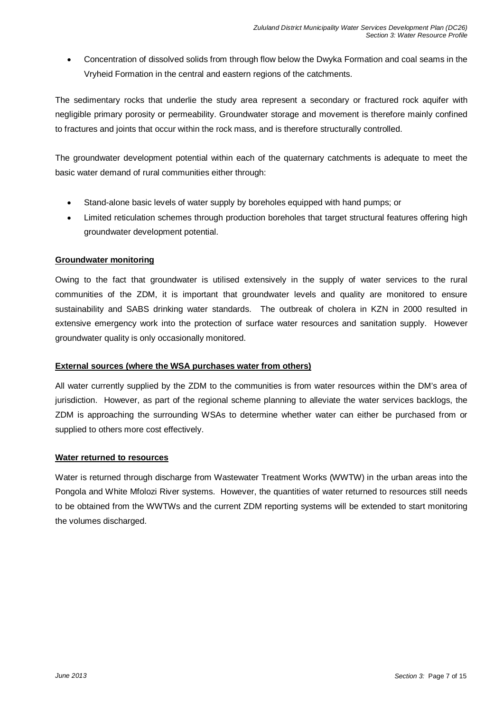• Concentration of dissolved solids from through flow below the Dwyka Formation and coal seams in the Vryheid Formation in the central and eastern regions of the catchments.

The sedimentary rocks that underlie the study area represent a secondary or fractured rock aquifer with negligible primary porosity or permeability. Groundwater storage and movement is therefore mainly confined to fractures and joints that occur within the rock mass, and is therefore structurally controlled.

The groundwater development potential within each of the quaternary catchments is adequate to meet the basic water demand of rural communities either through:

- Stand-alone basic levels of water supply by boreholes equipped with hand pumps; or
- Limited reticulation schemes through production boreholes that target structural features offering high groundwater development potential.

### **Groundwater monitoring**

Owing to the fact that groundwater is utilised extensively in the supply of water services to the rural communities of the ZDM, it is important that groundwater levels and quality are monitored to ensure sustainability and SABS drinking water standards. The outbreak of cholera in KZN in 2000 resulted in extensive emergency work into the protection of surface water resources and sanitation supply. However groundwater quality is only occasionally monitored.

### **External sources (where the WSA purchases water from others)**

All water currently supplied by the ZDM to the communities is from water resources within the DM's area of jurisdiction. However, as part of the regional scheme planning to alleviate the water services backlogs, the ZDM is approaching the surrounding WSAs to determine whether water can either be purchased from or supplied to others more cost effectively.

### **Water returned to resources**

Water is returned through discharge from Wastewater Treatment Works (WWTW) in the urban areas into the Pongola and White Mfolozi River systems. However, the quantities of water returned to resources still needs to be obtained from the WWTWs and the current ZDM reporting systems will be extended to start monitoring the volumes discharged.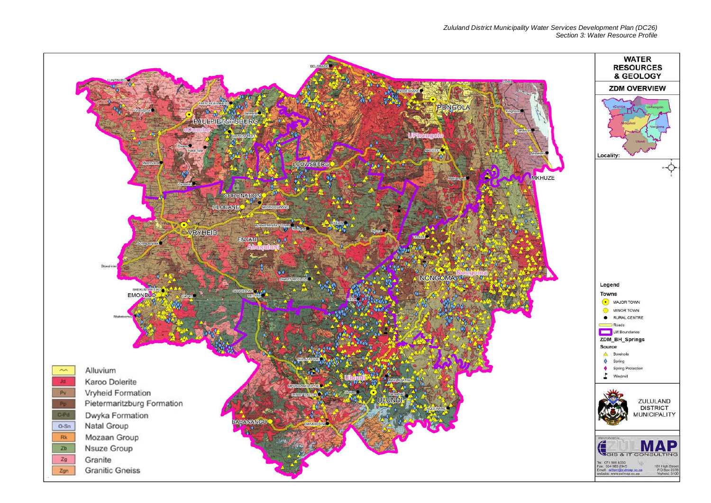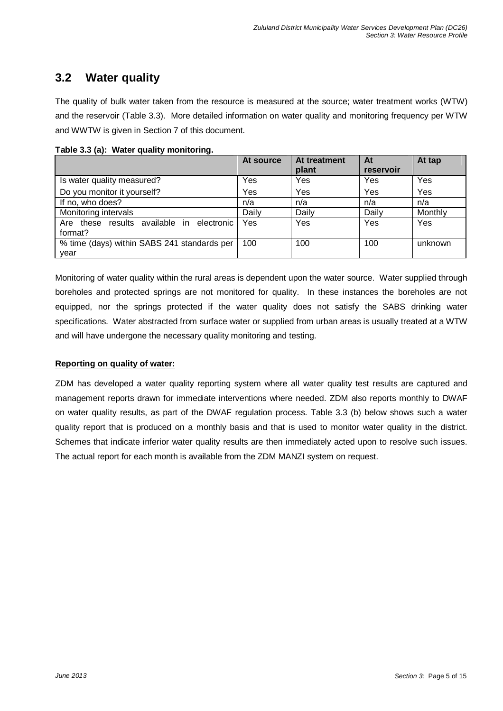## **3.2 Water quality**

The quality of bulk water taken from the resource is measured at the source; water treatment works (WTW) and the reservoir (Table 3.3). More detailed information on water quality and monitoring frequency per WTW and WWTW is given in Section 7 of this document.

|                                             | At source | At treatment | At        | At tap  |
|---------------------------------------------|-----------|--------------|-----------|---------|
|                                             |           | plant        | reservoir |         |
| Is water quality measured?                  | Yes       | Yes          | Yes       | Yes     |
| Do you monitor it yourself?                 | Yes       | Yes          | Yes       | Yes     |
| If no, who does?                            | n/a       | n/a          | n/a       | n/a     |
| Monitoring intervals                        | Daily     | Daily        | Daily     | Monthly |
| Are these results available in electronic   | Yes       | Yes          | Yes       | Yes     |
| format?                                     |           |              |           |         |
| % time (days) within SABS 241 standards per | 100       | 100          | 100       | unknown |
| year                                        |           |              |           |         |

**Table 3.3 (a): Water quality monitoring.** 

Monitoring of water quality within the rural areas is dependent upon the water source. Water supplied through boreholes and protected springs are not monitored for quality. In these instances the boreholes are not equipped, nor the springs protected if the water quality does not satisfy the SABS drinking water specifications. Water abstracted from surface water or supplied from urban areas is usually treated at a WTW and will have undergone the necessary quality monitoring and testing.

### **Reporting on quality of water:**

ZDM has developed a water quality reporting system where all water quality test results are captured and management reports drawn for immediate interventions where needed. ZDM also reports monthly to DWAF on water quality results, as part of the DWAF regulation process. Table 3.3 (b) below shows such a water quality report that is produced on a monthly basis and that is used to monitor water quality in the district. Schemes that indicate inferior water quality results are then immediately acted upon to resolve such issues. The actual report for each month is available from the ZDM MANZI system on request.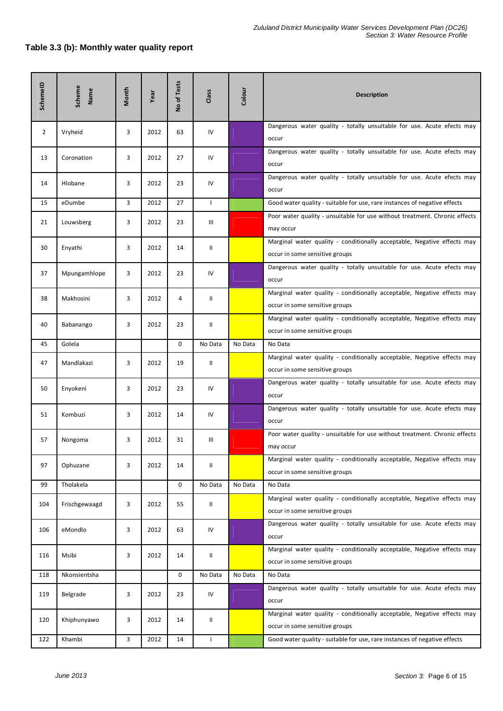### **Table 3.3 (b): Monthly water quality report**

| SchemeID       | Scheme<br>Name | Month | Year | No of Tests | Class        | Colour  | <b>Description</b>                                                                                        |
|----------------|----------------|-------|------|-------------|--------------|---------|-----------------------------------------------------------------------------------------------------------|
| $\overline{2}$ | Vryheid        | 3     | 2012 | 63          | IV           |         | Dangerous water quality - totally unsuitable for use. Acute efects may<br>occur                           |
| 13             | Coronation     | 3     | 2012 | 27          | IV           |         | Dangerous water quality - totally unsuitable for use. Acute efects may<br>occur                           |
| 14             | Hlobane        | 3     | 2012 | 23          | IV           |         | Dangerous water quality - totally unsuitable for use. Acute efects may<br>occur                           |
| 15             | eDumbe         | 3     | 2012 | 27          | $\mathbf{I}$ |         | Good water quality - suitable for use, rare instances of negative effects                                 |
| 21             | Louwsberg      | 3     | 2012 | 23          | Ш            |         | Poor water quality - unsuitable for use without treatment. Chronic effects<br>may occur                   |
| 30             | Enyathi        | 3     | 2012 | 14          | Ш            |         | Marginal water quality - conditionally acceptable, Negative effects may<br>occur in some sensitive groups |
| 37             | Mpungamhlope   | 3     | 2012 | 23          | IV           |         | Dangerous water quality - totally unsuitable for use. Acute efects may<br>occur                           |
| 38             | Makhosini      | 3     | 2012 | 4           | Ш            |         | Marginal water quality - conditionally acceptable, Negative effects may<br>occur in some sensitive groups |
| 40             | Babanango      | 3     | 2012 | 23          | Ш            |         | Marginal water quality - conditionally acceptable, Negative effects may<br>occur in some sensitive groups |
| 45             | Golela         |       |      | 0           | No Data      | No Data | No Data                                                                                                   |
| 47             | Mandlakazi     | 3     | 2012 | 19          | Ш            |         | Marginal water quality - conditionally acceptable, Negative effects may<br>occur in some sensitive groups |
| 50             | Enyokeni       | 3     | 2012 | 23          | IV           |         | Dangerous water quality - totally unsuitable for use. Acute efects may<br>occur                           |
| 51             | Kombuzi        | 3     | 2012 | 14          | IV           |         | Dangerous water quality - totally unsuitable for use. Acute efects may<br>occur                           |
| 57             | Nongoma        | 3     | 2012 | 31          | Ш            |         | Poor water quality - unsuitable for use without treatment. Chronic effects<br>may occur                   |
| 97             | Ophuzane       | 3     | 2012 | 14          | Ш            |         | Marginal water quality - conditionally acceptable, Negative effects may<br>occur in some sensitive groups |
| 99             | Tholakela      |       |      | 0           | No Data      | No Data | No Data                                                                                                   |
| 104            | Frischgewaagd  | 3     | 2012 | 55          | Ш            |         | Marginal water quality - conditionally acceptable, Negative effects may<br>occur in some sensitive groups |
| 106            | eMondlo        | 3     | 2012 | 63          | IV           |         | Dangerous water quality - totally unsuitable for use. Acute efects may<br>occur                           |
| 116            | Msibi          | 3     | 2012 | 14          | II           |         | Marginal water quality - conditionally acceptable, Negative effects may<br>occur in some sensitive groups |
| 118            | Nkonsientsha   |       |      | 0           | No Data      | No Data | No Data                                                                                                   |
| 119            | Belgrade       | 3     | 2012 | 23          | IV           |         | Dangerous water quality - totally unsuitable for use. Acute efects may<br>occur                           |
| 120            | Khiphunyawo    | 3     | 2012 | 14          | Ш            |         | Marginal water quality - conditionally acceptable, Negative effects may<br>occur in some sensitive groups |
| 122            | Khambi         | 3     | 2012 | 14          | $\mathbf{I}$ |         | Good water quality - suitable for use, rare instances of negative effects                                 |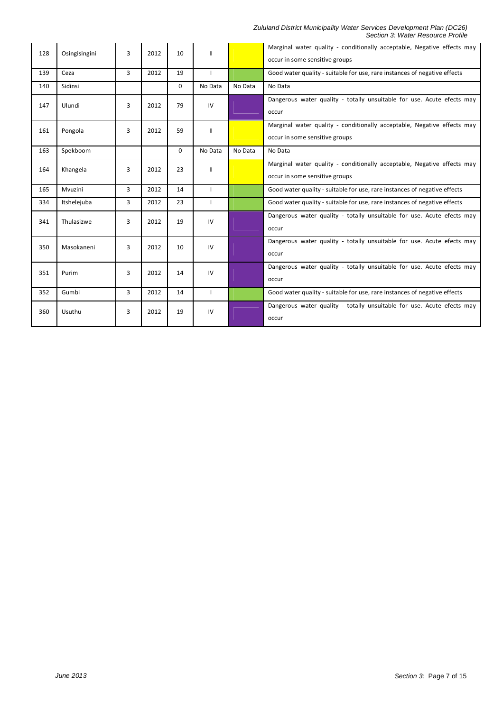#### Zululand District Municipality Water Services Development Plan (DC26) Section 3: Water Resource Profile

| 128 | Osingisingini | 3 | 2012 | 10       | Ш            |         | Marginal water quality - conditionally acceptable, Negative effects may<br>occur in some sensitive groups |
|-----|---------------|---|------|----------|--------------|---------|-----------------------------------------------------------------------------------------------------------|
| 139 | Ceza          | 3 | 2012 | 19       |              |         | Good water quality - suitable for use, rare instances of negative effects                                 |
| 140 | Sidinsi       |   |      | 0        | No Data      | No Data | No Data                                                                                                   |
| 147 | Ulundi        | 3 | 2012 | 79       | IV           |         | Dangerous water quality - totally unsuitable for use. Acute efects may<br>occur                           |
| 161 | Pongola       | 3 | 2012 | 59       | Ш            |         | Marginal water quality - conditionally acceptable, Negative effects may<br>occur in some sensitive groups |
| 163 | Spekboom      |   |      | $\Omega$ | No Data      | No Data | No Data                                                                                                   |
| 164 | Khangela      | 3 | 2012 | 23       | $\mathbf{H}$ |         | Marginal water quality - conditionally acceptable, Negative effects may<br>occur in some sensitive groups |
| 165 | Mvuzini       | 3 | 2012 | 14       |              |         | Good water quality - suitable for use, rare instances of negative effects                                 |
| 334 | Itshelejuba   | 3 | 2012 | 23       |              |         | Good water quality - suitable for use, rare instances of negative effects                                 |
|     |               |   |      |          |              |         |                                                                                                           |
| 341 | Thulasizwe    | 3 | 2012 | 19       | IV           |         | Dangerous water quality - totally unsuitable for use. Acute efects may<br>occur                           |
| 350 | Masokaneni    | 3 | 2012 | 10       | IV           |         | Dangerous water quality - totally unsuitable for use. Acute efects may<br>occur                           |
| 351 | Purim         | 3 | 2012 | 14       | IV           |         | Dangerous water quality - totally unsuitable for use. Acute efects may<br>occur                           |
| 352 | Gumbi         | 3 | 2012 | 14       |              |         | Good water quality - suitable for use, rare instances of negative effects                                 |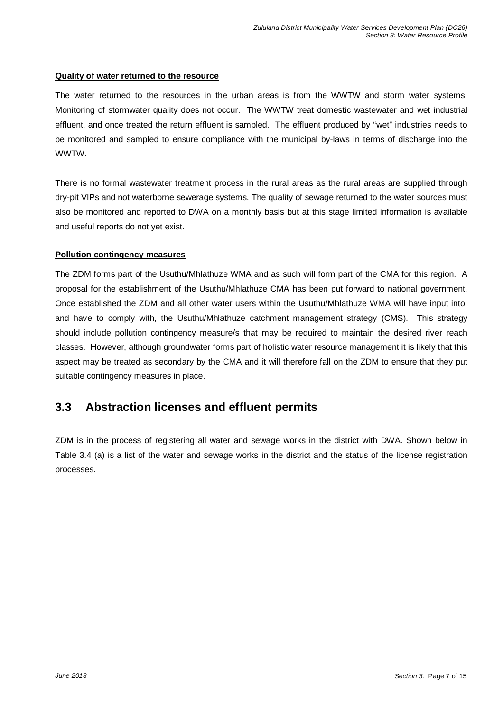### **Quality of water returned to the resource**

The water returned to the resources in the urban areas is from the WWTW and storm water systems. Monitoring of stormwater quality does not occur. The WWTW treat domestic wastewater and wet industrial effluent, and once treated the return effluent is sampled. The effluent produced by "wet" industries needs to be monitored and sampled to ensure compliance with the municipal by-laws in terms of discharge into the WWTW.

There is no formal wastewater treatment process in the rural areas as the rural areas are supplied through dry-pit VIPs and not waterborne sewerage systems. The quality of sewage returned to the water sources must also be monitored and reported to DWA on a monthly basis but at this stage limited information is available and useful reports do not yet exist.

### **Pollution contingency measures**

The ZDM forms part of the Usuthu/Mhlathuze WMA and as such will form part of the CMA for this region. A proposal for the establishment of the Usuthu/Mhlathuze CMA has been put forward to national government. Once established the ZDM and all other water users within the Usuthu/Mhlathuze WMA will have input into, and have to comply with, the Usuthu/Mhlathuze catchment management strategy (CMS). This strategy should include pollution contingency measure/s that may be required to maintain the desired river reach classes. However, although groundwater forms part of holistic water resource management it is likely that this aspect may be treated as secondary by the CMA and it will therefore fall on the ZDM to ensure that they put suitable contingency measures in place.

## **3.3 Abstraction licenses and effluent permits**

ZDM is in the process of registering all water and sewage works in the district with DWA. Shown below in Table 3.4 (a) is a list of the water and sewage works in the district and the status of the license registration processes.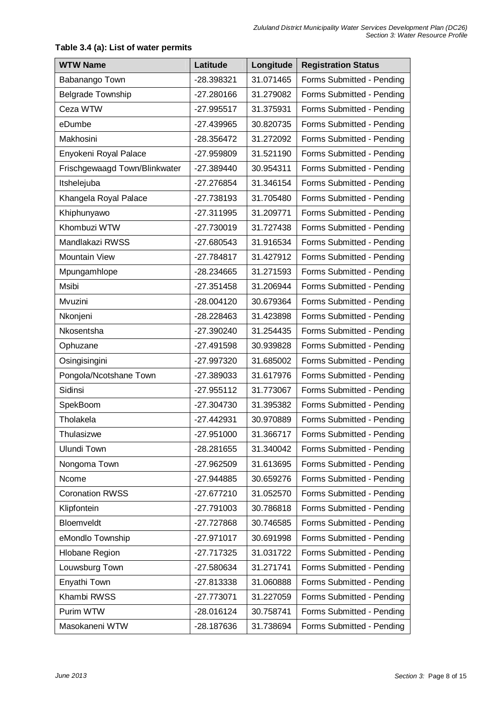## WTW Name **Latitude** | Longitude | Registration Status Babanango Town 1-28.398321 31.071465 | Forms Submitted - Pending Belgrade Township **-27.280166** 31.279082 Forms Submitted - Pending Ceza WTW -27.995517 31.375931 Forms Submitted - Pending eDumbe  $\vert$  -27.439965 30.820735 | Forms Submitted - Pending Makhosini -28.356472 31.272092 Forms Submitted - Pending Enyokeni Royal Palace -27.959809 31.521190 Forms Submitted - Pending Frischgewaagd Town/Blinkwater | -27.389440 | 30.954311 | Forms Submitted - Pending Itshelejuba -27.276854 31.346154 Forms Submitted - Pending Khangela Royal Palace | -27.738193 | 31.705480 | Forms Submitted - Pending Khiphunyawo | -27.311995 | 31.209771 | Forms Submitted - Pending Khombuzi WTW  $\vert$  -27.730019 | 31.727438 | Forms Submitted - Pending Mandlakazi RWSS | -27.680543 | 31.916534 | Forms Submitted - Pending Mountain View **-27.784817** 31.427912 Forms Submitted - Pending Mpungamhlope | -28.234665 | 31.271593 | Forms Submitted - Pending Msibi -27.351458 31.206944 Forms Submitted - Pending Mvuzini -28.004120 30.679364 Forms Submitted - Pending Nkonjeni | -28.228463 | 31.423898 | Forms Submitted - Pending Nkosentsha -27.390240 31.254435 Forms Submitted - Pending Ophuzane -27.491598 30.939828 Forms Submitted - Pending Osingisingini -27.997320 31.685002 Forms Submitted - Pending Pongola/Ncotshane Town | -27.389033 | 31.617976 | Forms Submitted - Pending Sidinsi **-27.955112** 31.773067 | Forms Submitted - Pending SpekBoom -27.304730 31.395382 Forms Submitted - Pending Tholakela -27.442931 30.970889 Forms Submitted - Pending Thulasizwe -27.951000 31.366717 Forms Submitted - Pending Ulundi Town -28.281655 31.340042 Forms Submitted - Pending Nongoma Town | -27.962509 | 31.613695 | Forms Submitted - Pending Ncome  $-27.944885$  30.659276 Forms Submitted - Pending Coronation RWSS | -27.677210 | 31.052570 | Forms Submitted - Pending Klipfontein **-27.791003** 30.786818 | Forms Submitted - Pending Bloemveldt -27.727868 30.746585 Forms Submitted - Pending eMondlo Township -27.971017 30.691998 Forms Submitted - Pending Hlobane Region | -27.717325 | 31.031722 | Forms Submitted - Pending Louwsburg Town  $-27.580634$  31.271741 Forms Submitted - Pending Enyathi Town  $-27.813338$  31.060888 Forms Submitted - Pending Khambi RWSS -27.773071 31.227059 Forms Submitted - Pending Purim WTW  $-28.016124$  30.758741 Forms Submitted - Pending Masokaneni WTW -28.187636 31.738694 Forms Submitted - Pending

### **Table 3.4 (a): List of water permits**